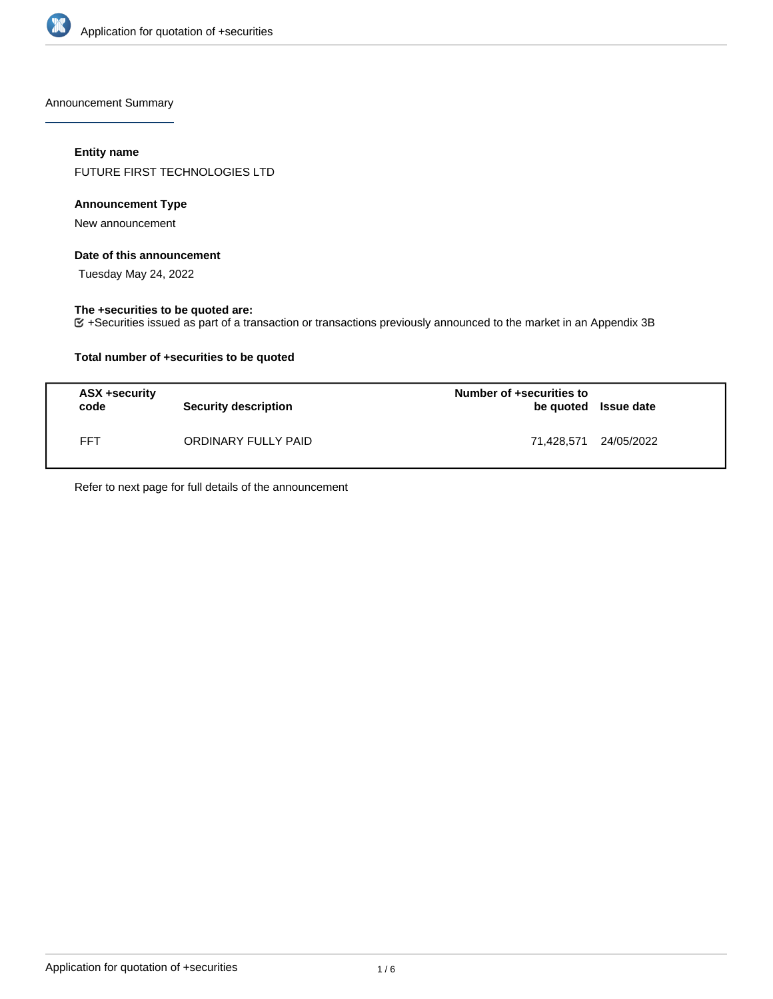

Announcement Summary

# **Entity name**

FUTURE FIRST TECHNOLOGIES LTD

## **Announcement Type**

New announcement

### **Date of this announcement**

Tuesday May 24, 2022

# **The +securities to be quoted are:**

+Securities issued as part of a transaction or transactions previously announced to the market in an Appendix 3B

# **Total number of +securities to be quoted**

| ASX +security<br>code | <b>Security description</b> | Number of +securities to<br>be quoted Issue date |  |
|-----------------------|-----------------------------|--------------------------------------------------|--|
| FFT                   | ORDINARY FULLY PAID         | 71,428,571 24/05/2022                            |  |

Refer to next page for full details of the announcement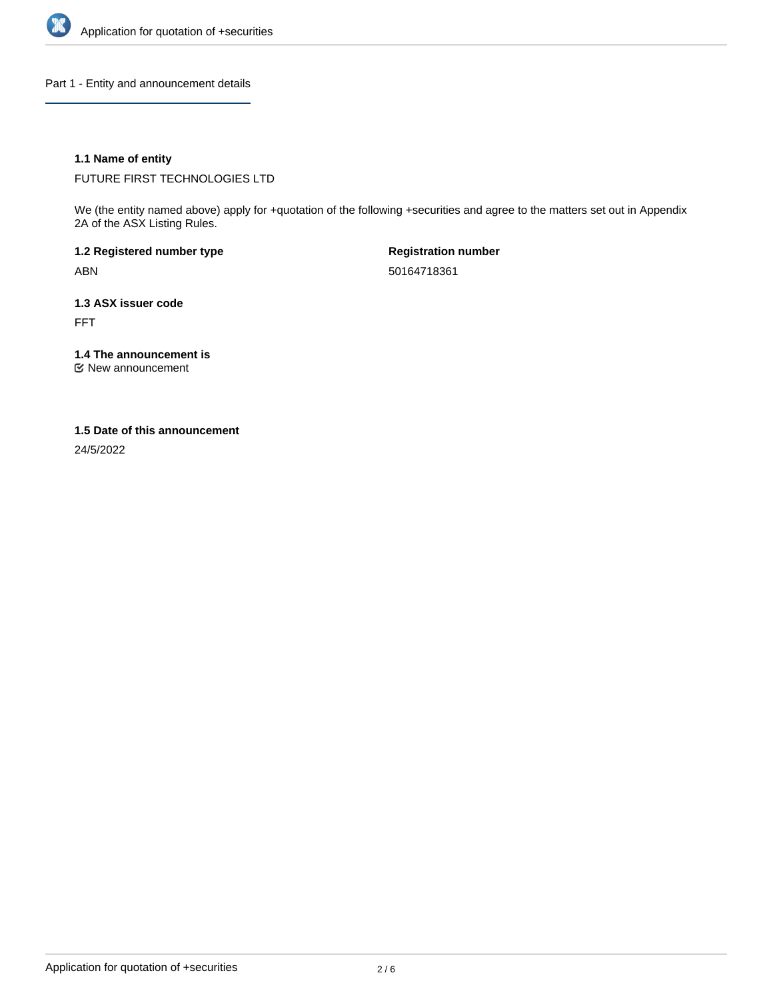

Part 1 - Entity and announcement details

# **1.1 Name of entity**

FUTURE FIRST TECHNOLOGIES LTD

We (the entity named above) apply for +quotation of the following +securities and agree to the matters set out in Appendix 2A of the ASX Listing Rules.

**1.2 Registered number type** ABN

**Registration number** 50164718361

**1.3 ASX issuer code** FFT

**1.4 The announcement is**

New announcement

### **1.5 Date of this announcement**

24/5/2022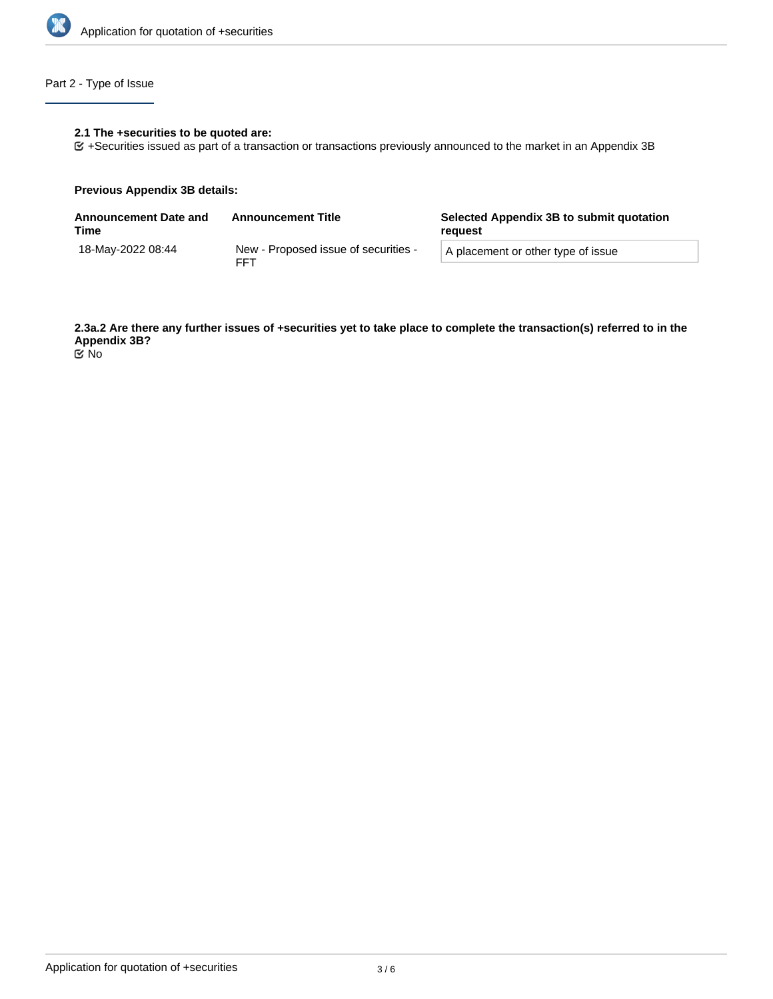

# Part 2 - Type of Issue

# **2.1 The +securities to be quoted are:**

+Securities issued as part of a transaction or transactions previously announced to the market in an Appendix 3B

### **Previous Appendix 3B details:**

| <b>Announcement Date and</b><br>Time | <b>Announcement Title</b>                          | Selected Appendix 3B to submit quotation<br>reguest |  |
|--------------------------------------|----------------------------------------------------|-----------------------------------------------------|--|
| 18-Mav-2022 08:44                    | New - Proposed issue of securities -<br><b>FFT</b> | A placement or other type of issue                  |  |

**2.3a.2 Are there any further issues of +securities yet to take place to complete the transaction(s) referred to in the Appendix 3B?** No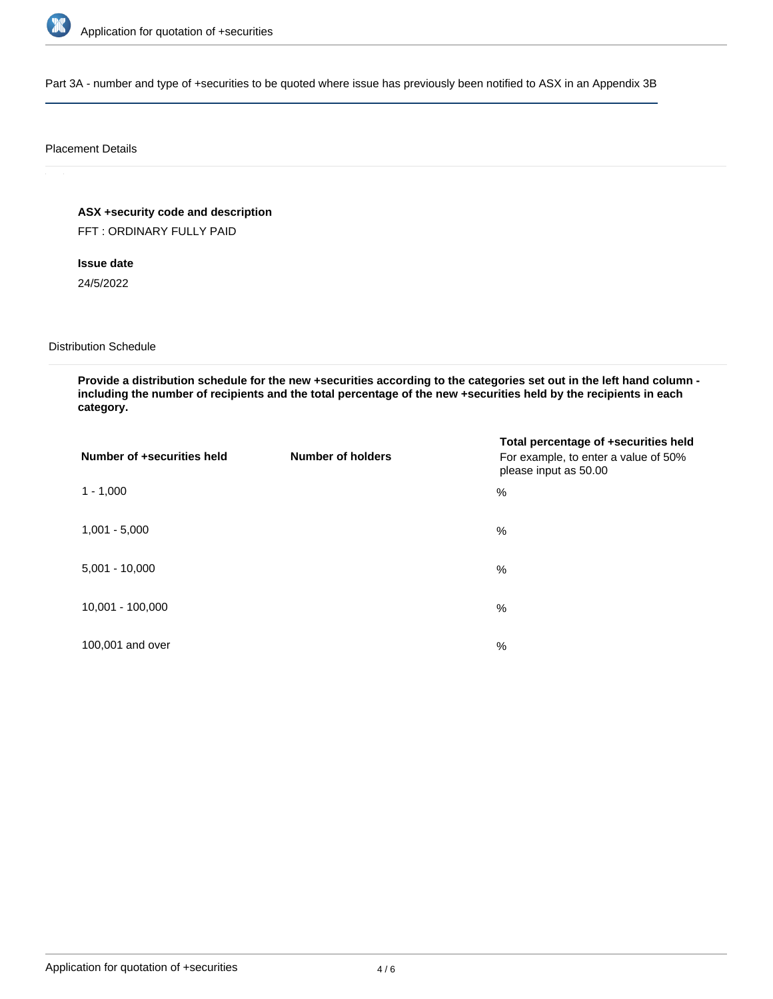

Part 3A - number and type of +securities to be quoted where issue has previously been notified to ASX in an Appendix 3B

### Placement Details

**ASX +security code and description**

FFT : ORDINARY FULLY PAID

**Issue date**

24/5/2022

Distribution Schedule

**Provide a distribution schedule for the new +securities according to the categories set out in the left hand column including the number of recipients and the total percentage of the new +securities held by the recipients in each category.**

| Number of +securities held | <b>Number of holders</b> | Total percentage of +securities held<br>For example, to enter a value of 50%<br>please input as 50.00 |
|----------------------------|--------------------------|-------------------------------------------------------------------------------------------------------|
| $1 - 1,000$                |                          | $\%$                                                                                                  |
| $1,001 - 5,000$            |                          | $\%$                                                                                                  |
| $5,001 - 10,000$           |                          | %                                                                                                     |
| 10,001 - 100,000           |                          | %                                                                                                     |
| 100,001 and over           |                          | $\%$                                                                                                  |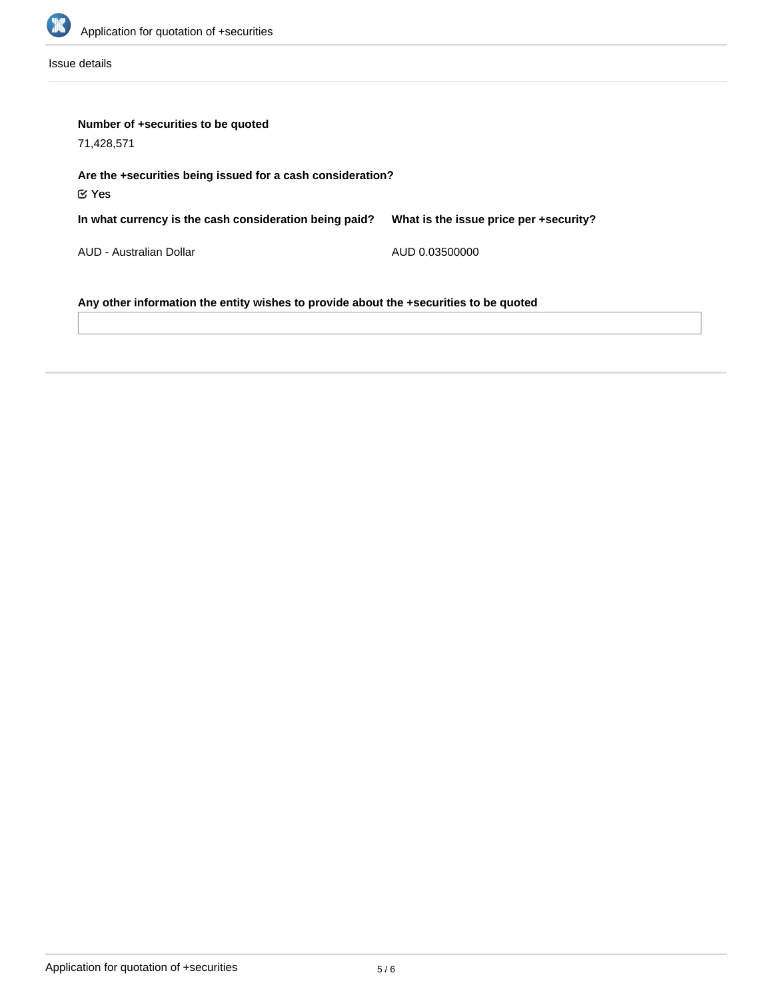

Issue details

| Number of +securities to be quoted<br>71,428,571                                      |                                        |  |  |  |
|---------------------------------------------------------------------------------------|----------------------------------------|--|--|--|
| Are the +securities being issued for a cash consideration?<br>$\mathfrak C$ Yes       |                                        |  |  |  |
| In what currency is the cash consideration being paid?                                | What is the issue price per +security? |  |  |  |
| AUD - Australian Dollar                                                               | AUD 0.03500000                         |  |  |  |
| Any other information the entity wishes to provide about the +securities to be quoted |                                        |  |  |  |